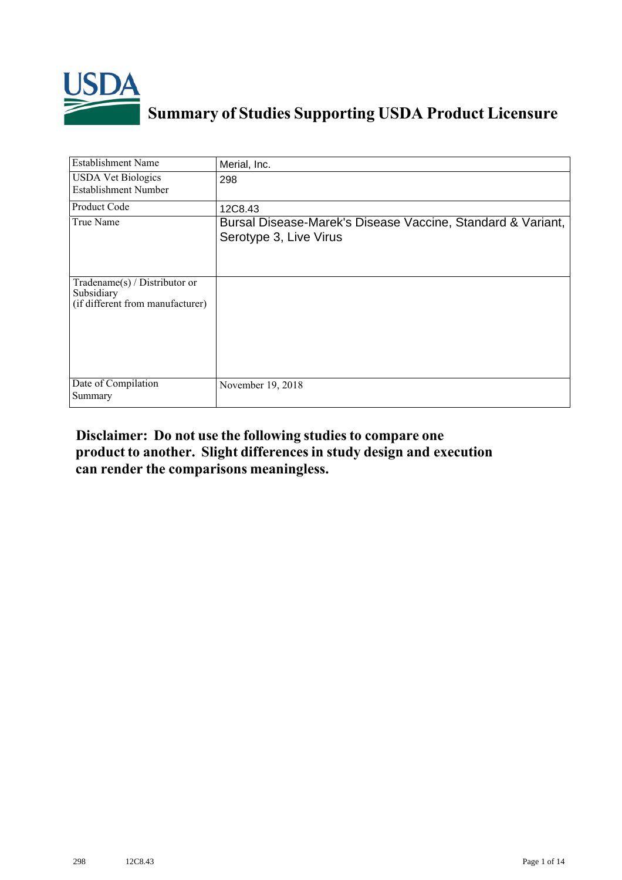

## **Summary of Studies Supporting USDA Product Licensure**

| <b>Establishment Name</b>                                                         | Merial, Inc.                                                                          |
|-----------------------------------------------------------------------------------|---------------------------------------------------------------------------------------|
| <b>USDA Vet Biologics</b><br><b>Establishment Number</b>                          | 298                                                                                   |
| Product Code                                                                      | 12C8.43                                                                               |
| True Name                                                                         | Bursal Disease-Marek's Disease Vaccine, Standard & Variant,<br>Serotype 3, Live Virus |
| $Tradename(s) / Distributor$ or<br>Subsidiary<br>(if different from manufacturer) |                                                                                       |
| Date of Compilation<br>Summary                                                    | November 19, 2018                                                                     |

## **Disclaimer: Do not use the following studiesto compare one product to another. Slight differencesin study design and execution can render the comparisons meaningless.**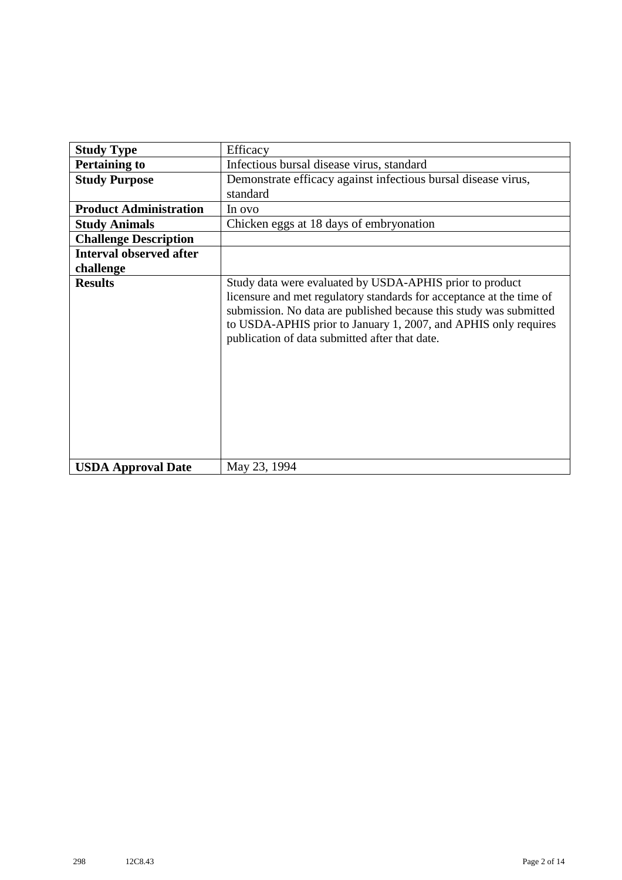| <b>Study Type</b>              | Efficacy                                                                                                                                                                                                                                                                                                                    |
|--------------------------------|-----------------------------------------------------------------------------------------------------------------------------------------------------------------------------------------------------------------------------------------------------------------------------------------------------------------------------|
| <b>Pertaining to</b>           | Infectious bursal disease virus, standard                                                                                                                                                                                                                                                                                   |
| <b>Study Purpose</b>           | Demonstrate efficacy against infectious bursal disease virus,                                                                                                                                                                                                                                                               |
|                                | standard                                                                                                                                                                                                                                                                                                                    |
| <b>Product Administration</b>  | In ovo                                                                                                                                                                                                                                                                                                                      |
| <b>Study Animals</b>           | Chicken eggs at 18 days of embryonation                                                                                                                                                                                                                                                                                     |
| <b>Challenge Description</b>   |                                                                                                                                                                                                                                                                                                                             |
| <b>Interval observed after</b> |                                                                                                                                                                                                                                                                                                                             |
| challenge                      |                                                                                                                                                                                                                                                                                                                             |
| <b>Results</b>                 | Study data were evaluated by USDA-APHIS prior to product<br>licensure and met regulatory standards for acceptance at the time of<br>submission. No data are published because this study was submitted<br>to USDA-APHIS prior to January 1, 2007, and APHIS only requires<br>publication of data submitted after that date. |
| <b>USDA Approval Date</b>      | May 23, 1994                                                                                                                                                                                                                                                                                                                |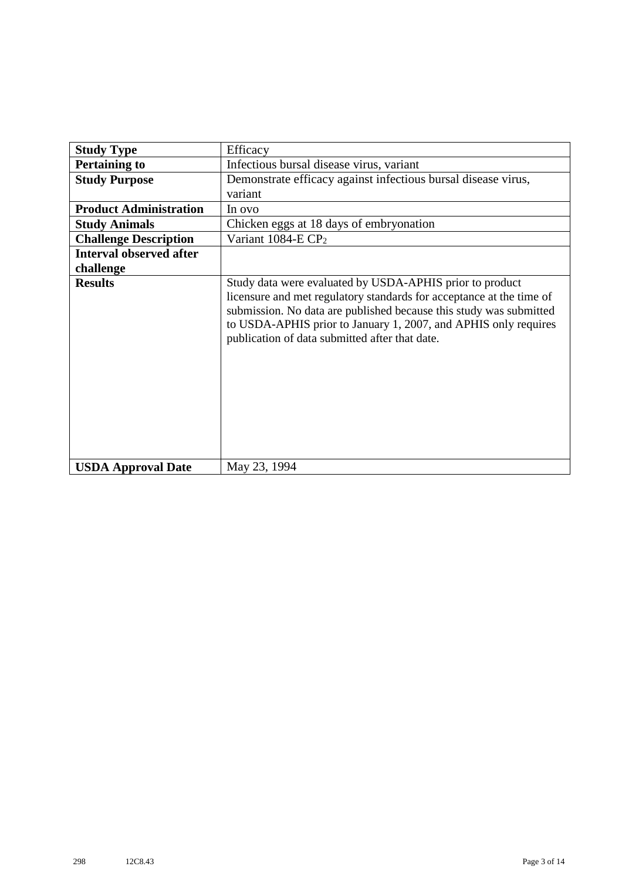| <b>Study Type</b>              | Efficacy                                                                                                                                                                                                                                                                                                                    |
|--------------------------------|-----------------------------------------------------------------------------------------------------------------------------------------------------------------------------------------------------------------------------------------------------------------------------------------------------------------------------|
|                                |                                                                                                                                                                                                                                                                                                                             |
| <b>Pertaining to</b>           | Infectious bursal disease virus, variant                                                                                                                                                                                                                                                                                    |
| <b>Study Purpose</b>           | Demonstrate efficacy against infectious bursal disease virus,                                                                                                                                                                                                                                                               |
|                                | variant                                                                                                                                                                                                                                                                                                                     |
| <b>Product Administration</b>  | In ovo                                                                                                                                                                                                                                                                                                                      |
| <b>Study Animals</b>           | Chicken eggs at 18 days of embryonation                                                                                                                                                                                                                                                                                     |
| <b>Challenge Description</b>   | Variant 1084-E CP <sub>2</sub>                                                                                                                                                                                                                                                                                              |
| <b>Interval observed after</b> |                                                                                                                                                                                                                                                                                                                             |
| challenge                      |                                                                                                                                                                                                                                                                                                                             |
| <b>Results</b>                 | Study data were evaluated by USDA-APHIS prior to product<br>licensure and met regulatory standards for acceptance at the time of<br>submission. No data are published because this study was submitted<br>to USDA-APHIS prior to January 1, 2007, and APHIS only requires<br>publication of data submitted after that date. |
| <b>USDA Approval Date</b>      | May 23, 1994                                                                                                                                                                                                                                                                                                                |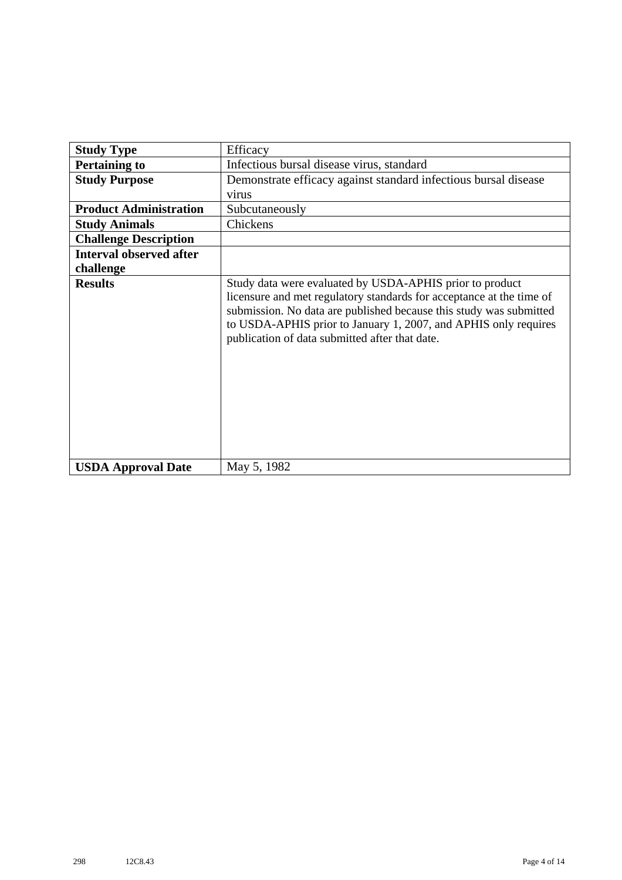| <b>Study Type</b>              | Efficacy                                                                                                                                                                                                                                                                                                                    |
|--------------------------------|-----------------------------------------------------------------------------------------------------------------------------------------------------------------------------------------------------------------------------------------------------------------------------------------------------------------------------|
| <b>Pertaining to</b>           | Infectious bursal disease virus, standard                                                                                                                                                                                                                                                                                   |
| <b>Study Purpose</b>           | Demonstrate efficacy against standard infectious bursal disease                                                                                                                                                                                                                                                             |
|                                | virus                                                                                                                                                                                                                                                                                                                       |
| <b>Product Administration</b>  | Subcutaneously                                                                                                                                                                                                                                                                                                              |
| <b>Study Animals</b>           | Chickens                                                                                                                                                                                                                                                                                                                    |
| <b>Challenge Description</b>   |                                                                                                                                                                                                                                                                                                                             |
| <b>Interval observed after</b> |                                                                                                                                                                                                                                                                                                                             |
| challenge                      |                                                                                                                                                                                                                                                                                                                             |
| <b>Results</b>                 | Study data were evaluated by USDA-APHIS prior to product<br>licensure and met regulatory standards for acceptance at the time of<br>submission. No data are published because this study was submitted<br>to USDA-APHIS prior to January 1, 2007, and APHIS only requires<br>publication of data submitted after that date. |
| <b>USDA Approval Date</b>      | May 5, 1982                                                                                                                                                                                                                                                                                                                 |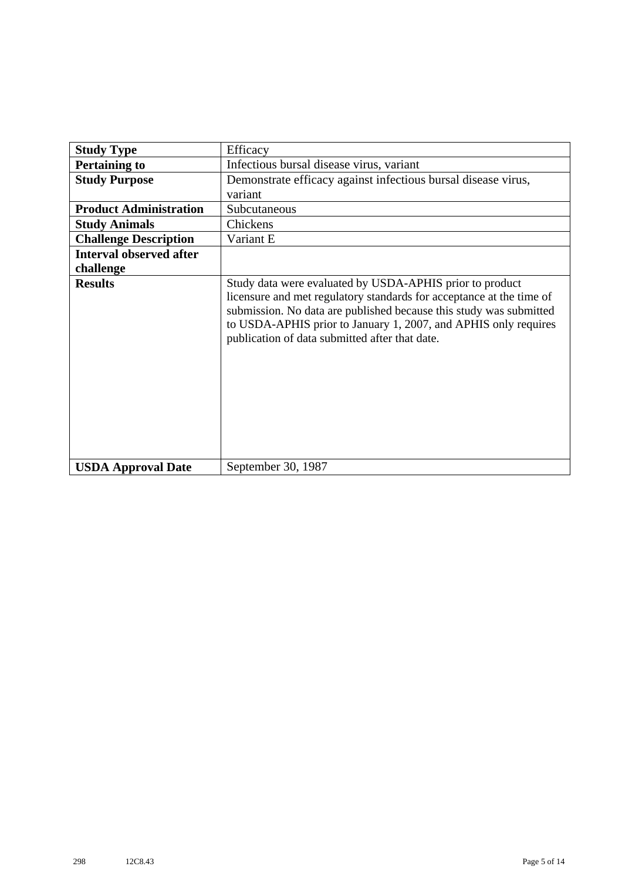| <b>Study Type</b>              | Efficacy                                                                                                                                                                                                                                                                                                                    |
|--------------------------------|-----------------------------------------------------------------------------------------------------------------------------------------------------------------------------------------------------------------------------------------------------------------------------------------------------------------------------|
| <b>Pertaining to</b>           | Infectious bursal disease virus, variant                                                                                                                                                                                                                                                                                    |
| <b>Study Purpose</b>           | Demonstrate efficacy against infectious bursal disease virus,                                                                                                                                                                                                                                                               |
|                                | variant                                                                                                                                                                                                                                                                                                                     |
| <b>Product Administration</b>  | Subcutaneous                                                                                                                                                                                                                                                                                                                |
| <b>Study Animals</b>           | Chickens                                                                                                                                                                                                                                                                                                                    |
| <b>Challenge Description</b>   | Variant E                                                                                                                                                                                                                                                                                                                   |
| <b>Interval observed after</b> |                                                                                                                                                                                                                                                                                                                             |
| challenge                      |                                                                                                                                                                                                                                                                                                                             |
| <b>Results</b>                 | Study data were evaluated by USDA-APHIS prior to product<br>licensure and met regulatory standards for acceptance at the time of<br>submission. No data are published because this study was submitted<br>to USDA-APHIS prior to January 1, 2007, and APHIS only requires<br>publication of data submitted after that date. |
| <b>USDA Approval Date</b>      | September 30, 1987                                                                                                                                                                                                                                                                                                          |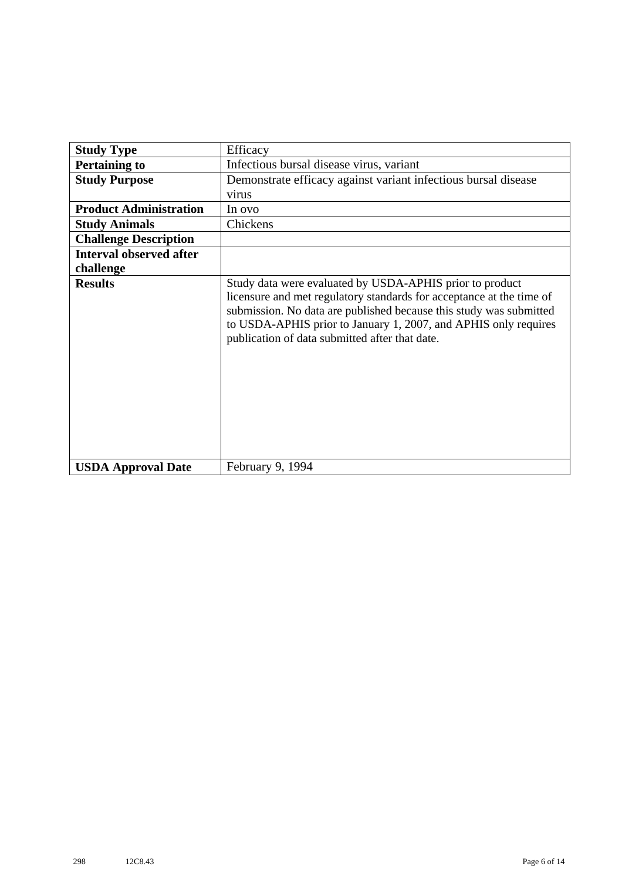| <b>Study Type</b>              | Efficacy                                                                                                                                                                                                                                                                                                                    |
|--------------------------------|-----------------------------------------------------------------------------------------------------------------------------------------------------------------------------------------------------------------------------------------------------------------------------------------------------------------------------|
| <b>Pertaining to</b>           | Infectious bursal disease virus, variant                                                                                                                                                                                                                                                                                    |
| <b>Study Purpose</b>           | Demonstrate efficacy against variant infectious bursal disease                                                                                                                                                                                                                                                              |
|                                | virus                                                                                                                                                                                                                                                                                                                       |
| <b>Product Administration</b>  | In ovo                                                                                                                                                                                                                                                                                                                      |
| <b>Study Animals</b>           | Chickens                                                                                                                                                                                                                                                                                                                    |
| <b>Challenge Description</b>   |                                                                                                                                                                                                                                                                                                                             |
| <b>Interval observed after</b> |                                                                                                                                                                                                                                                                                                                             |
| challenge                      |                                                                                                                                                                                                                                                                                                                             |
| <b>Results</b>                 | Study data were evaluated by USDA-APHIS prior to product<br>licensure and met regulatory standards for acceptance at the time of<br>submission. No data are published because this study was submitted<br>to USDA-APHIS prior to January 1, 2007, and APHIS only requires<br>publication of data submitted after that date. |
| <b>USDA Approval Date</b>      | February 9, 1994                                                                                                                                                                                                                                                                                                            |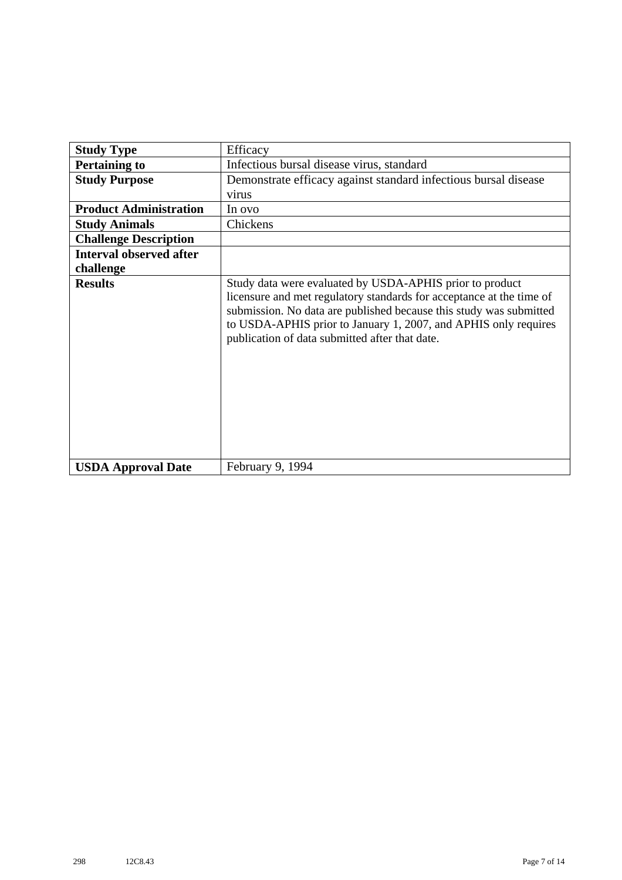| <b>Study Type</b>              | Efficacy                                                                                                                                                                                                                                                                                                                    |
|--------------------------------|-----------------------------------------------------------------------------------------------------------------------------------------------------------------------------------------------------------------------------------------------------------------------------------------------------------------------------|
| <b>Pertaining to</b>           | Infectious bursal disease virus, standard                                                                                                                                                                                                                                                                                   |
| <b>Study Purpose</b>           | Demonstrate efficacy against standard infectious bursal disease                                                                                                                                                                                                                                                             |
|                                | virus                                                                                                                                                                                                                                                                                                                       |
| <b>Product Administration</b>  | In ovo                                                                                                                                                                                                                                                                                                                      |
| <b>Study Animals</b>           | Chickens                                                                                                                                                                                                                                                                                                                    |
| <b>Challenge Description</b>   |                                                                                                                                                                                                                                                                                                                             |
| <b>Interval observed after</b> |                                                                                                                                                                                                                                                                                                                             |
| challenge                      |                                                                                                                                                                                                                                                                                                                             |
| <b>Results</b>                 | Study data were evaluated by USDA-APHIS prior to product<br>licensure and met regulatory standards for acceptance at the time of<br>submission. No data are published because this study was submitted<br>to USDA-APHIS prior to January 1, 2007, and APHIS only requires<br>publication of data submitted after that date. |
| <b>USDA Approval Date</b>      | February 9, 1994                                                                                                                                                                                                                                                                                                            |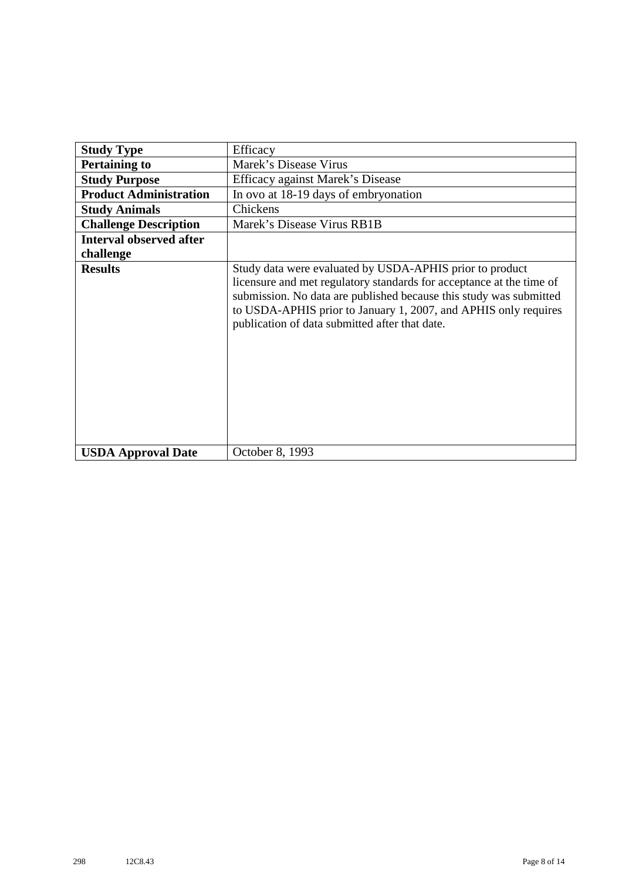| <b>Study Type</b>              | Efficacy                                                                                                                                                                                                                                                                                                                    |
|--------------------------------|-----------------------------------------------------------------------------------------------------------------------------------------------------------------------------------------------------------------------------------------------------------------------------------------------------------------------------|
| <b>Pertaining to</b>           | Marek's Disease Virus                                                                                                                                                                                                                                                                                                       |
|                                |                                                                                                                                                                                                                                                                                                                             |
| <b>Study Purpose</b>           | Efficacy against Marek's Disease                                                                                                                                                                                                                                                                                            |
| <b>Product Administration</b>  | In ovo at 18-19 days of embryonation                                                                                                                                                                                                                                                                                        |
| <b>Study Animals</b>           | Chickens                                                                                                                                                                                                                                                                                                                    |
| <b>Challenge Description</b>   | Marek's Disease Virus RB1B                                                                                                                                                                                                                                                                                                  |
| <b>Interval observed after</b> |                                                                                                                                                                                                                                                                                                                             |
| challenge                      |                                                                                                                                                                                                                                                                                                                             |
| <b>Results</b>                 | Study data were evaluated by USDA-APHIS prior to product<br>licensure and met regulatory standards for acceptance at the time of<br>submission. No data are published because this study was submitted<br>to USDA-APHIS prior to January 1, 2007, and APHIS only requires<br>publication of data submitted after that date. |
| <b>USDA Approval Date</b>      | October 8, 1993                                                                                                                                                                                                                                                                                                             |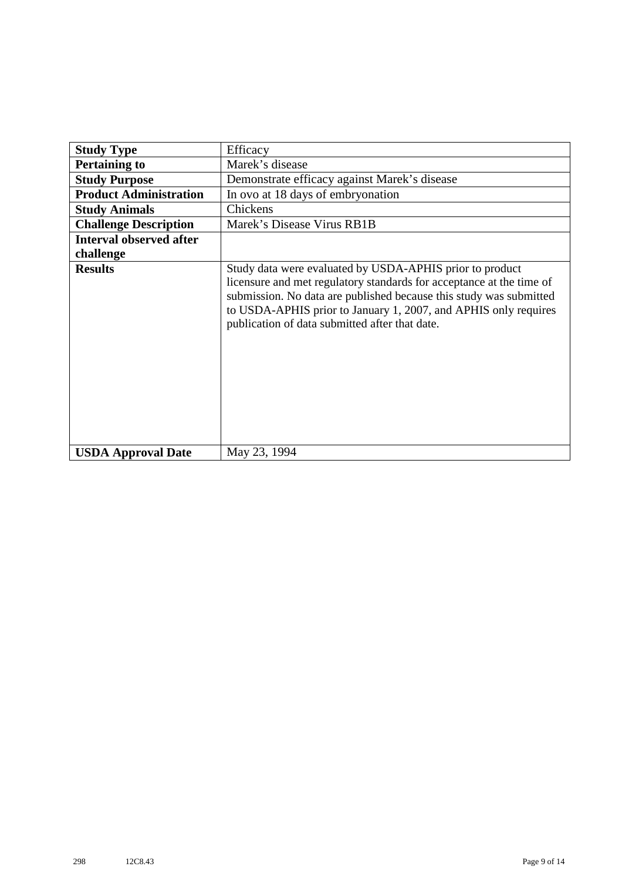| <b>Study Type</b>              | Efficacy                                                                                                                                                                                                                                                                                                                    |
|--------------------------------|-----------------------------------------------------------------------------------------------------------------------------------------------------------------------------------------------------------------------------------------------------------------------------------------------------------------------------|
| <b>Pertaining to</b>           | Marek's disease                                                                                                                                                                                                                                                                                                             |
| <b>Study Purpose</b>           | Demonstrate efficacy against Marek's disease                                                                                                                                                                                                                                                                                |
| <b>Product Administration</b>  | In ovo at 18 days of embryonation                                                                                                                                                                                                                                                                                           |
| <b>Study Animals</b>           | Chickens                                                                                                                                                                                                                                                                                                                    |
| <b>Challenge Description</b>   | Marek's Disease Virus RB1B                                                                                                                                                                                                                                                                                                  |
| <b>Interval observed after</b> |                                                                                                                                                                                                                                                                                                                             |
| challenge                      |                                                                                                                                                                                                                                                                                                                             |
| <b>Results</b>                 | Study data were evaluated by USDA-APHIS prior to product<br>licensure and met regulatory standards for acceptance at the time of<br>submission. No data are published because this study was submitted<br>to USDA-APHIS prior to January 1, 2007, and APHIS only requires<br>publication of data submitted after that date. |
| <b>USDA Approval Date</b>      | May 23, 1994                                                                                                                                                                                                                                                                                                                |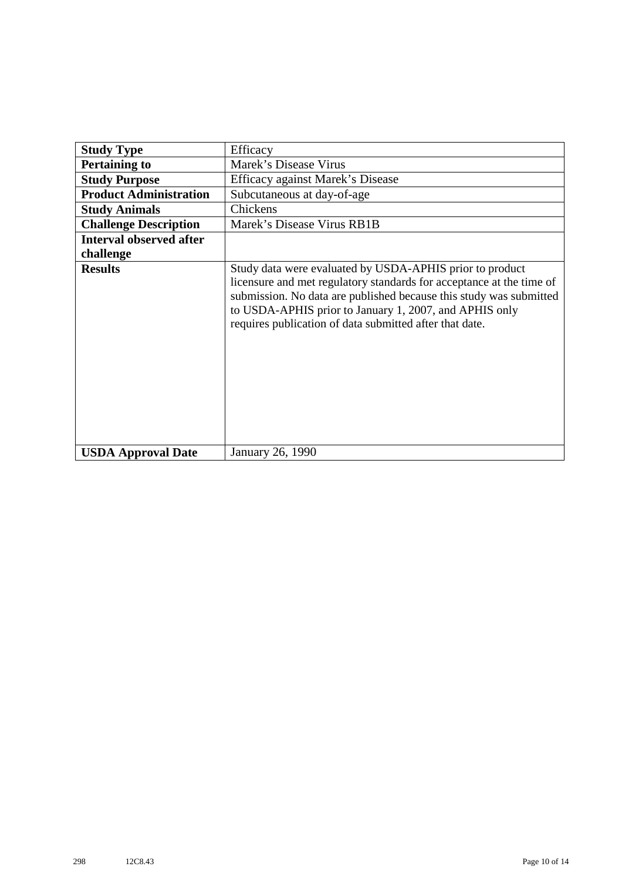| <b>Study Type</b>              | Efficacy                                                                                                                                                                                                                                                                                                                    |
|--------------------------------|-----------------------------------------------------------------------------------------------------------------------------------------------------------------------------------------------------------------------------------------------------------------------------------------------------------------------------|
| <b>Pertaining to</b>           | Marek's Disease Virus                                                                                                                                                                                                                                                                                                       |
| <b>Study Purpose</b>           | Efficacy against Marek's Disease                                                                                                                                                                                                                                                                                            |
| <b>Product Administration</b>  | Subcutaneous at day-of-age                                                                                                                                                                                                                                                                                                  |
| <b>Study Animals</b>           | Chickens                                                                                                                                                                                                                                                                                                                    |
| <b>Challenge Description</b>   | Marek's Disease Virus RB1B                                                                                                                                                                                                                                                                                                  |
| <b>Interval observed after</b> |                                                                                                                                                                                                                                                                                                                             |
| challenge                      |                                                                                                                                                                                                                                                                                                                             |
| <b>Results</b>                 | Study data were evaluated by USDA-APHIS prior to product<br>licensure and met regulatory standards for acceptance at the time of<br>submission. No data are published because this study was submitted<br>to USDA-APHIS prior to January 1, 2007, and APHIS only<br>requires publication of data submitted after that date. |
| <b>USDA Approval Date</b>      | January 26, 1990                                                                                                                                                                                                                                                                                                            |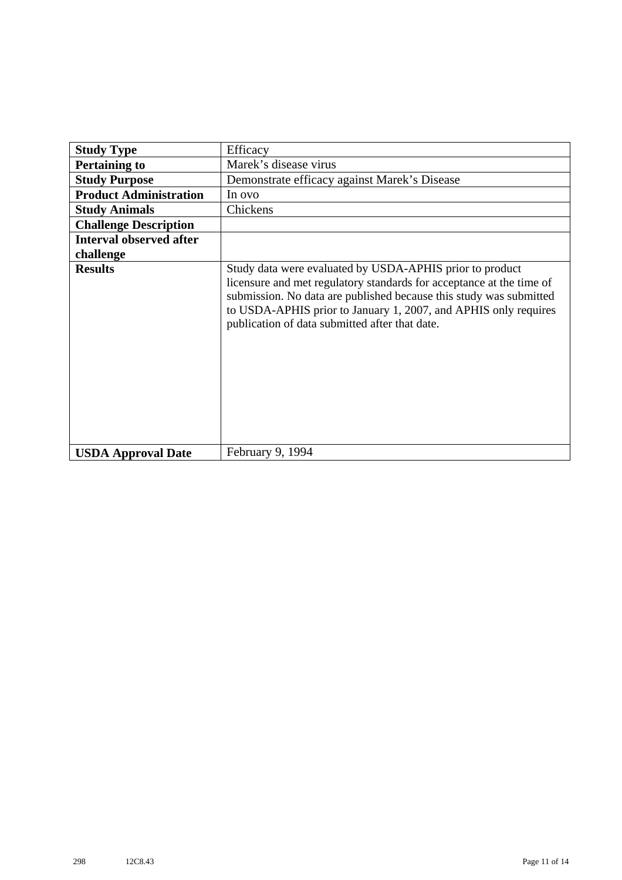| <b>Study Type</b>              | Efficacy                                                                                                                                                                                                                                                                                                                    |
|--------------------------------|-----------------------------------------------------------------------------------------------------------------------------------------------------------------------------------------------------------------------------------------------------------------------------------------------------------------------------|
| <b>Pertaining to</b>           | Marek's disease virus                                                                                                                                                                                                                                                                                                       |
| <b>Study Purpose</b>           | Demonstrate efficacy against Marek's Disease                                                                                                                                                                                                                                                                                |
| <b>Product Administration</b>  | In ovo                                                                                                                                                                                                                                                                                                                      |
| <b>Study Animals</b>           | Chickens                                                                                                                                                                                                                                                                                                                    |
| <b>Challenge Description</b>   |                                                                                                                                                                                                                                                                                                                             |
| <b>Interval observed after</b> |                                                                                                                                                                                                                                                                                                                             |
| challenge                      |                                                                                                                                                                                                                                                                                                                             |
| <b>Results</b>                 | Study data were evaluated by USDA-APHIS prior to product<br>licensure and met regulatory standards for acceptance at the time of<br>submission. No data are published because this study was submitted<br>to USDA-APHIS prior to January 1, 2007, and APHIS only requires<br>publication of data submitted after that date. |
| <b>USDA Approval Date</b>      | February 9, 1994                                                                                                                                                                                                                                                                                                            |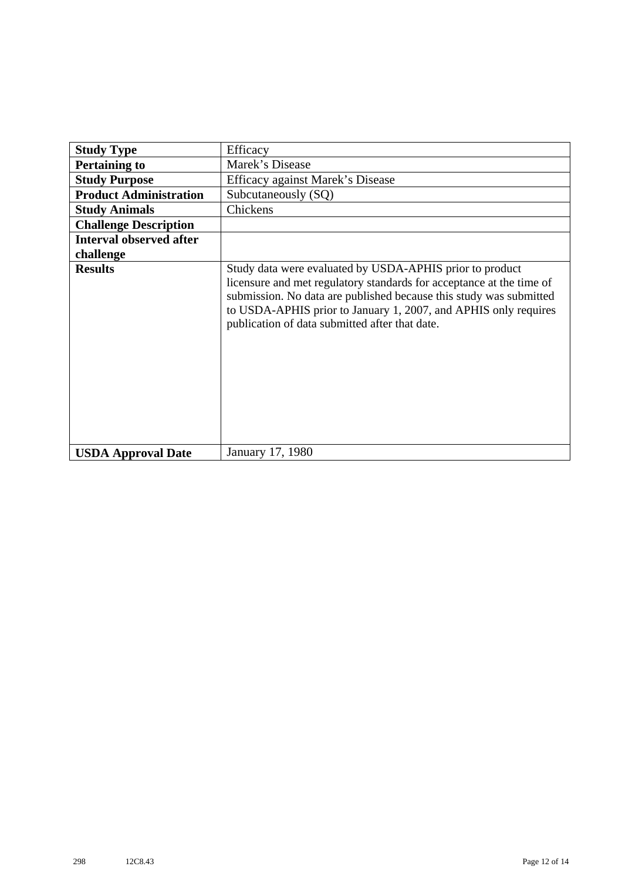| <b>Study Type</b>              | Efficacy                                                                                                                                                                                                                                                                                                                    |
|--------------------------------|-----------------------------------------------------------------------------------------------------------------------------------------------------------------------------------------------------------------------------------------------------------------------------------------------------------------------------|
| <b>Pertaining to</b>           | Marek's Disease                                                                                                                                                                                                                                                                                                             |
| <b>Study Purpose</b>           | Efficacy against Marek's Disease                                                                                                                                                                                                                                                                                            |
| <b>Product Administration</b>  | Subcutaneously (SQ)                                                                                                                                                                                                                                                                                                         |
| <b>Study Animals</b>           | Chickens                                                                                                                                                                                                                                                                                                                    |
| <b>Challenge Description</b>   |                                                                                                                                                                                                                                                                                                                             |
| <b>Interval observed after</b> |                                                                                                                                                                                                                                                                                                                             |
| challenge                      |                                                                                                                                                                                                                                                                                                                             |
| <b>Results</b>                 | Study data were evaluated by USDA-APHIS prior to product<br>licensure and met regulatory standards for acceptance at the time of<br>submission. No data are published because this study was submitted<br>to USDA-APHIS prior to January 1, 2007, and APHIS only requires<br>publication of data submitted after that date. |
| <b>USDA Approval Date</b>      | January 17, 1980                                                                                                                                                                                                                                                                                                            |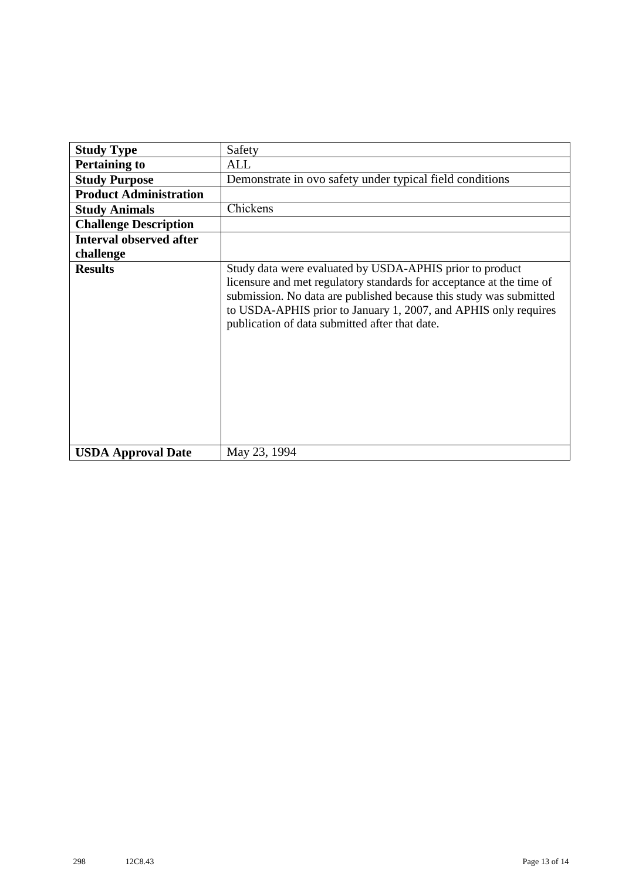| <b>Study Type</b>              | Safety                                                                                                                                                                                                                                                                                                                      |
|--------------------------------|-----------------------------------------------------------------------------------------------------------------------------------------------------------------------------------------------------------------------------------------------------------------------------------------------------------------------------|
| <b>Pertaining to</b>           | <b>ALL</b>                                                                                                                                                                                                                                                                                                                  |
| <b>Study Purpose</b>           | Demonstrate in ovo safety under typical field conditions                                                                                                                                                                                                                                                                    |
| <b>Product Administration</b>  |                                                                                                                                                                                                                                                                                                                             |
| <b>Study Animals</b>           | Chickens                                                                                                                                                                                                                                                                                                                    |
| <b>Challenge Description</b>   |                                                                                                                                                                                                                                                                                                                             |
| <b>Interval observed after</b> |                                                                                                                                                                                                                                                                                                                             |
| challenge                      |                                                                                                                                                                                                                                                                                                                             |
| <b>Results</b>                 | Study data were evaluated by USDA-APHIS prior to product<br>licensure and met regulatory standards for acceptance at the time of<br>submission. No data are published because this study was submitted<br>to USDA-APHIS prior to January 1, 2007, and APHIS only requires<br>publication of data submitted after that date. |
| <b>USDA Approval Date</b>      | May 23, 1994                                                                                                                                                                                                                                                                                                                |